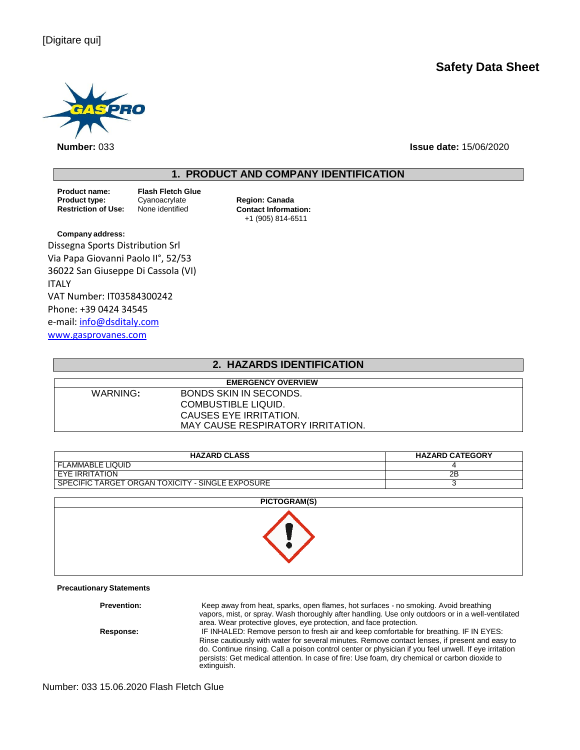# **Safety Data Sheet**



**Number:** 033 **Issue date:** 15/06/2020

# **1. PRODUCT AND COMPANY IDENTIFICATION**

**Product name: Flash Fletch Glue Product type:** Cyanoacrylate **Region: Canada**<br> **Restriction of Use:** None identified **Contact Information** 

**Contact Information:** +1 (905) 814-6511

**Company address:** Dissegna Sports Distribution Srl Via Papa Giovanni Paolo II°, 52/53 36022 San Giuseppe Di Cassola (VI) ITALY VAT Number: IT03584300242 Phone: +39 0424 34545 e-mail: [info@dsditaly.com](mailto:info@dsditaly.com) [www.gasprovanes.com](http://www.gasprovanes.com/)

### **2. HAZARDS IDENTIFICATION**

| <b>EMERGENCY OVERVIEW</b> |                                   |  |  |
|---------------------------|-----------------------------------|--|--|
| WARNING:                  | BONDS SKIN IN SECONDS.            |  |  |
|                           | COMBUSTIBLE LIQUID.               |  |  |
|                           | CAUSES EYE IRRITATION.            |  |  |
|                           | MAY CAUSE RESPIRATORY IRRITATION. |  |  |

| <b>HAZARD CLASS</b>                              | <b>HAZARD CATEGORY</b> |
|--------------------------------------------------|------------------------|
| <b>FLAMMABLE LIQUID</b>                          |                        |
| EYE IRRITATION                                   | 2B                     |
| SPECIFIC TARGET ORGAN TOXICITY - SINGLE EXPOSURE |                        |

| PICTOGRAM(S) |  |
|--------------|--|
|              |  |

### **Precautionary Statements**

**Prevention:** Keep away from heat, sparks, open flames, hot surfaces - no smoking. Avoid breathing vapors, mist, or spray. Wash thoroughly after handling. Use only outdoors or in a well-ventilated area. Wear protective gloves, eye protection, and face protection. **Response:** IF INHALED: Remove person to fresh air and keep comfortable for breathing. IF IN EYES: Rinse cautiously with water for several minutes. Remove contact lenses, if present and easy to do. Continue rinsing. Call a poison control center or physician if you feel unwell. If eye irritation persists: Get medical attention. In case of fire: Use foam, dry chemical or carbon dioxide to extinguish.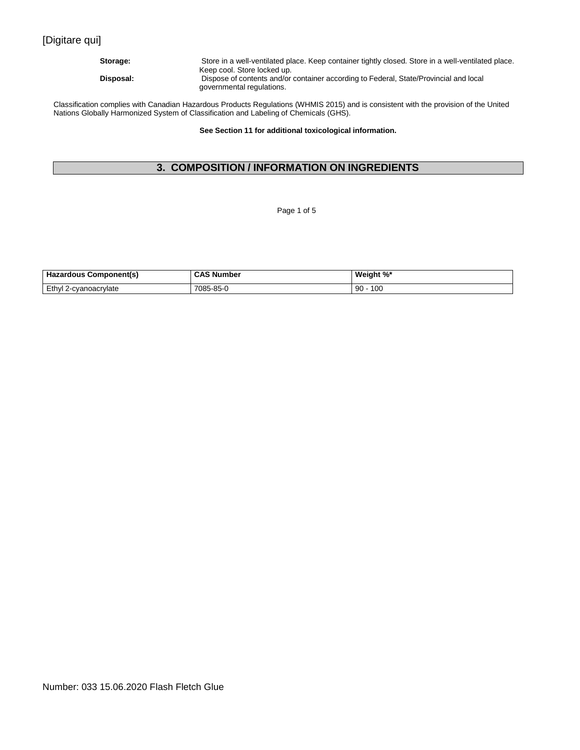# [Digitare qui]

**Storage:** Store in a well-ventilated place. Keep container tightly closed. Store in a well-ventilated place. Keep cool. Store locked up. **Disposal:** Dispose of contents and/or container according to Federal, State/Provincial and local governmental regulations.

Classification complies with Canadian Hazardous Products Regulations (WHMIS 2015) and is consistent with the provision of the United Nations Globally Harmonized System of Classification and Labeling of Chemicals (GHS).

**See Section 11 for additional toxicological information.**

# **3. COMPOSITION / INFORMATION ON INGREDIENTS**

Page 1 of 5

| <b>Hazardous Component(s)</b> | <b>CAS Number</b> | Weight %*     |
|-------------------------------|-------------------|---------------|
| Ethyl 2-cvanoacrylate         | 7085-85-U         | $90 -$<br>100 |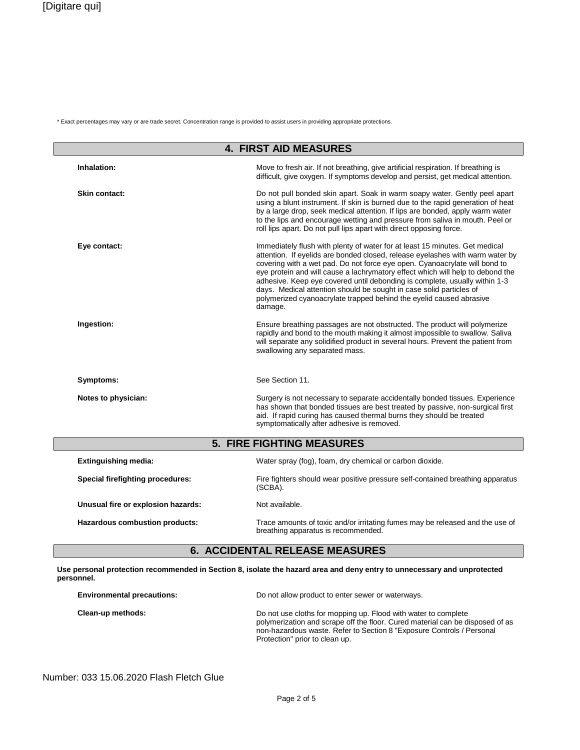\* Exact percentages may vary or are trade secret. Concentration range is provided to assist users in providing appropriate protections.

| <b>4. FIRST AID MEASURES</b>       |                                                                                                                                                                                                                                                                                                                                                                                                                                                                                                                                                                     |  |  |
|------------------------------------|---------------------------------------------------------------------------------------------------------------------------------------------------------------------------------------------------------------------------------------------------------------------------------------------------------------------------------------------------------------------------------------------------------------------------------------------------------------------------------------------------------------------------------------------------------------------|--|--|
| Inhalation:                        | Move to fresh air. If not breathing, give artificial respiration. If breathing is<br>difficult, give oxygen. If symptoms develop and persist, get medical attention.                                                                                                                                                                                                                                                                                                                                                                                                |  |  |
| <b>Skin contact:</b>               | Do not pull bonded skin apart. Soak in warm soapy water. Gently peel apart<br>using a blunt instrument. If skin is burned due to the rapid generation of heat<br>by a large drop, seek medical attention. If lips are bonded, apply warm water<br>to the lips and encourage wetting and pressure from saliva in mouth. Peel or<br>roll lips apart. Do not pull lips apart with direct opposing force.                                                                                                                                                               |  |  |
| Eye contact:                       | Immediately flush with plenty of water for at least 15 minutes. Get medical<br>attention. If eyelids are bonded closed, release eyelashes with warm water by<br>covering with a wet pad. Do not force eye open. Cyanoacrylate will bond to<br>eye protein and will cause a lachrymatory effect which will help to debond the<br>adhesive. Keep eye covered until debonding is complete, usually within 1-3<br>days. Medical attention should be sought in case solid particles of<br>polymerized cyanoacrylate trapped behind the eyelid caused abrasive<br>damage. |  |  |
| Ingestion:                         | Ensure breathing passages are not obstructed. The product will polymerize<br>rapidly and bond to the mouth making it almost impossible to swallow. Saliva<br>will separate any solidified product in several hours. Prevent the patient from<br>swallowing any separated mass.                                                                                                                                                                                                                                                                                      |  |  |
| Symptoms:                          | See Section 11.                                                                                                                                                                                                                                                                                                                                                                                                                                                                                                                                                     |  |  |
| Notes to physician:                | Surgery is not necessary to separate accidentally bonded tissues. Experience<br>has shown that bonded tissues are best treated by passive, non-surgical first<br>aid. If rapid curing has caused thermal burns they should be treated<br>symptomatically after adhesive is removed.                                                                                                                                                                                                                                                                                 |  |  |
|                                    | <b>5. FIRE FIGHTING MEASURES</b>                                                                                                                                                                                                                                                                                                                                                                                                                                                                                                                                    |  |  |
| <b>Extinguishing media:</b>        | Water spray (fog), foam, dry chemical or carbon dioxide.                                                                                                                                                                                                                                                                                                                                                                                                                                                                                                            |  |  |
| Special firefighting procedures:   | Fire fighters should wear positive pressure self-contained breathing apparatus<br>(SCBA).                                                                                                                                                                                                                                                                                                                                                                                                                                                                           |  |  |
| Unusual fire or explosion hazards: | Not available.                                                                                                                                                                                                                                                                                                                                                                                                                                                                                                                                                      |  |  |
| Hazardous combustion products:     | Trace amounts of toxic and/or irritating fumes may be released and the use of<br>breathing apparatus is recommended.                                                                                                                                                                                                                                                                                                                                                                                                                                                |  |  |

# **6. ACCIDENTAL RELEASE MEASURES**

**Use personal protection recommended in Section 8, isolate the hazard area and deny entry to unnecessary and unprotected personnel.**

| <b>Environmental precautions:</b> | Do not allow product to enter sewer or waterways.                                                                                                                                                                                                          |  |  |
|-----------------------------------|------------------------------------------------------------------------------------------------------------------------------------------------------------------------------------------------------------------------------------------------------------|--|--|
| Clean-up methods:                 | Do not use cloths for mopping up. Flood with water to complete<br>polymerization and scrape off the floor. Cured material can be disposed of as<br>non-hazardous waste. Refer to Section 8 "Exposure Controls / Personal<br>Protection" prior to clean up. |  |  |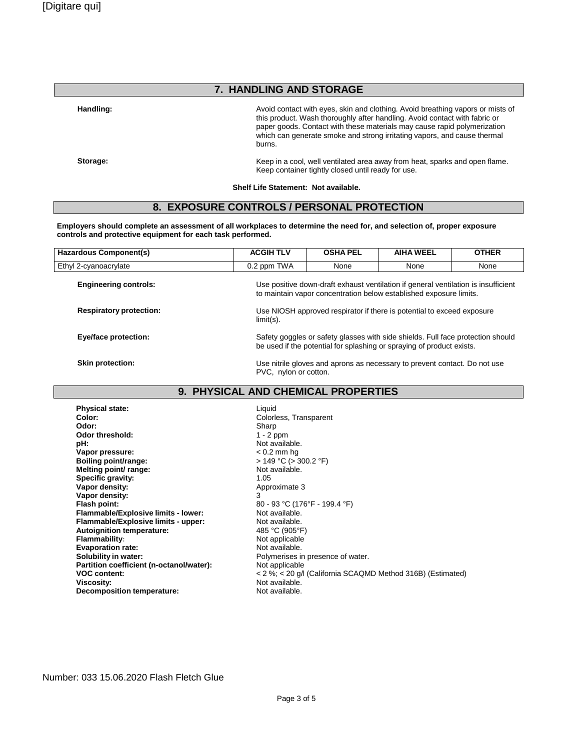# **7. HANDLING AND STORAGE**

Handling: **Handling: Handling: Avoid contact with eyes, skin and clothing. Avoid breathing vapors or mists of** this product. Wash thoroughly after handling. Avoid contact with fabric or paper goods. Contact with these materials may cause rapid polymerization which can generate smoke and strong irritating vapors, and cause thermal burns.

**Storage:** Keep in a cool, well ventilated area away from heat, sparks and open flame. Keep container tightly closed until ready for use.

**Shelf Life Statement: Not available.**

# **8. EXPOSURE CONTROLS / PERSONAL PROTECTION**

**Employers should complete an assessment of all workplaces to determine the need for, and selection of, proper exposure controls and protective equipment for each task performed.**

| <b>Hazardous Component(s)</b>  | <b>ACGIH TLV</b>                                                                                                                                         | <b>OSHA PEL</b>                         | <b>AIHA WEEL</b> | <b>OTHER</b> |
|--------------------------------|----------------------------------------------------------------------------------------------------------------------------------------------------------|-----------------------------------------|------------------|--------------|
| Ethyl 2-cyanoacrylate          | 0.2 ppm TWA                                                                                                                                              | None                                    | None             | None         |
| <b>Engineering controls:</b>   | Use positive down-draft exhaust ventilation if general ventilation is insufficient<br>to maintain vapor concentration below established exposure limits. |                                         |                  |              |
| <b>Respiratory protection:</b> | Use NIOSH approved respirator if there is potential to exceed exposure<br>$limit(s)$ .                                                                   |                                         |                  |              |
| Eye/face protection:           | Safety goggles or safety glasses with side shields. Full face protection should<br>be used if the potential for splashing or spraying of product exists. |                                         |                  |              |
| <b>Skin protection:</b>        | Use nitrile gloves and aprons as necessary to prevent contact. Do not use<br>PVC, nylon or cotton.                                                       |                                         |                  |              |
| <b>BUBLAIA LI</b><br>$\bullet$ |                                                                                                                                                          | $\overline{1118}$ alienisali brabebeieg |                  |              |

#### **9. PHYSICAL AND CHEMICAL PROPERTIES**

**Physical state:**<br> **Color:**Color:
Color:
Color:
Color:
Color:
Color:
Color:
Color:
Color:
Color:
Color:
Color:
Color:
Color:
Color:
Color:
Color:
Color:
Color:
Color:
Color:
Color:
Color:
Color:
Color:
Color:
Color:
Color **Color:** Colorless, Transparent<br> **Color:** Color: Sharp **Odor:** Sharp **Odor threshold:** 1 - 2 ppm **pH:**<br> **Vapor pressure:**<br>
Vapor pressure:<br>  $\frac{1}{2}$  A and  $\frac{1}{2}$  A and  $\frac{1}{2}$  A and  $\frac{1}{2}$  A and  $\frac{1}{2}$  A and  $\frac{1}{2}$  A and  $\frac{1}{2}$  A and  $\frac{1}{2}$  A and  $\frac{1}{2}$  A and  $\frac{1}{2}$  A and  $\frac{1}{2}$  A and  $\frac$ Vapor pressure:<br>Boiling point/range: **Melting point/ range:** Not available. **Specific gravity:** 1.05 **Vapor** density: **Vapor density:** 3 **Flammable/Explosive limits - lower:** Not available.<br> **Flammable/Explosive limits - upper:** Not available. **Flammable/Explosive limits - upper:** Not available.<br>**Autoignition temperature:** Autoigned 485 °C (905°F) **Autoignition temperature:**<br> **Flammability:** Mot applicable **Flammability:**<br> **Evaporation rate:**<br> **Evaporation rate:**<br> **Not** available. **Evaporation rate:**<br>Solubility in water: **Partition coefficient (n-octanol/water):**<br>VOC content: **Decomposition temperature:** 

**Boiling point/range:** > 149 °C (> 300.2 °F) **Flash point:** 80 - 93 °C (176°F - 199.4 °F) Polymerises in presence of water.<br>Not applicable **VOC content:**  $\leq 2\%$ ;  $\lt 20$  g/l (California SCAQMD Method 316B) (Estimated)<br>Viscosity: Not available. Not available.<br>Not available.